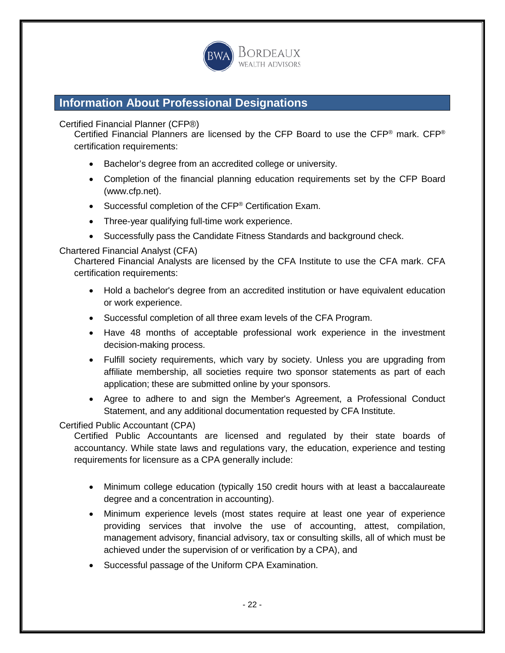

# **Information About Professional Designations**

Certified Financial Planner (CFP®)

Certified Financial Planners are licensed by the CFP Board to use the CFP® mark. CFP® certification requirements:

- Bachelor's degree from an accredited college or university.
- Completion of the financial planning education requirements set by the CFP Board (www.cfp.net).
- Successful completion of the CFP<sup>®</sup> Certification Exam.
- Three-year qualifying full-time work experience.
- Successfully pass the Candidate Fitness Standards and background check.

# Chartered Financial Analyst (CFA)

Chartered Financial Analysts are licensed by the CFA Institute to use the CFA mark. CFA certification requirements:

- Hold a bachelor's degree from an accredited institution or have equivalent education or work experience.
- Successful completion of all three exam levels of the CFA Program.
- Have 48 months of acceptable professional work experience in the investment decision-making process.
- Fulfill society requirements, which vary by society. Unless you are upgrading from affiliate membership, all societies require two sponsor statements as part of each application; these are submitted online by your sponsors.
- Agree to adhere to and sign the Member's Agreement, a Professional Conduct Statement, and any additional documentation requested by CFA Institute.

# Certified Public Accountant (CPA)

Certified Public Accountants are licensed and regulated by their state boards of accountancy. While state laws and regulations vary, the education, experience and testing requirements for licensure as a CPA generally include:

- Minimum college education (typically 150 credit hours with at least a baccalaureate degree and a concentration in accounting).
- Minimum experience levels (most states require at least one year of experience providing services that involve the use of accounting, attest, compilation, management advisory, financial advisory, tax or consulting skills, all of which must be achieved under the supervision of or verification by a CPA), and
- Successful passage of the Uniform CPA Examination.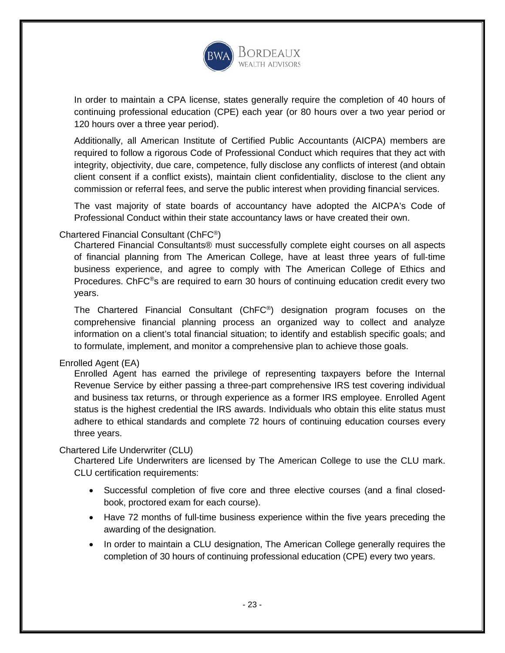

In order to maintain a CPA license, states generally require the completion of 40 hours of continuing professional education (CPE) each year (or 80 hours over a two year period or 120 hours over a three year period).

Additionally, all American Institute of Certified Public Accountants (AICPA) members are required to follow a rigorous Code of Professional Conduct which requires that they act with integrity, objectivity, due care, competence, fully disclose any conflicts of interest (and obtain client consent if a conflict exists), maintain client confidentiality, disclose to the client any commission or referral fees, and serve the public interest when providing financial services.

The vast majority of state boards of accountancy have adopted the AICPA's Code of Professional Conduct within their state accountancy laws or have created their own.

# Chartered Financial Consultant (ChFC<sup>®</sup>)

Chartered Financial Consultants® must successfully complete eight courses on all aspects of financial planning from The American College, have at least three years of full-time business experience, and agree to comply with The American College of Ethics and Procedures. ChFC®s are required to earn 30 hours of continuing education credit every two years.

The Chartered Financial Consultant (ChFC® ) designation program focuses on the comprehensive financial planning process an organized way to collect and analyze information on a client's total financial situation; to identify and establish specific goals; and to formulate, implement, and monitor a comprehensive plan to achieve those goals.

# Enrolled Agent (EA)

Enrolled Agent has earned the privilege of representing taxpayers before the Internal Revenue Service by either passing a three-part comprehensive IRS test covering individual and business tax returns, or through experience as a former IRS employee. Enrolled Agent status is the highest credential the IRS awards. Individuals who obtain this elite status must adhere to ethical standards and complete 72 hours of continuing education courses every three years.

# Chartered Life Underwriter (CLU)

Chartered Life Underwriters are licensed by The American College to use the CLU mark. CLU certification requirements:

- Successful completion of five core and three elective courses (and a final closedbook, proctored exam for each course).
- Have 72 months of full-time business experience within the five years preceding the awarding of the designation.
- In order to maintain a CLU designation, The American College generally requires the completion of 30 hours of continuing professional education (CPE) every two years.